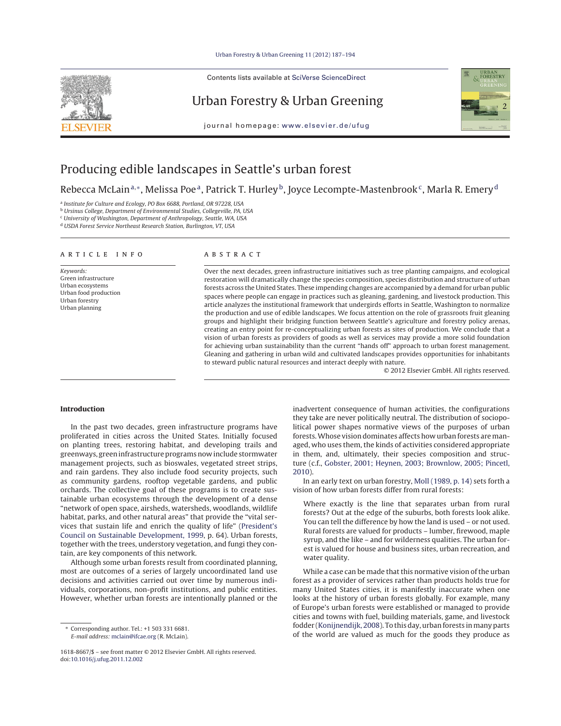Urban Forestry & Urban Greening 11 (2012) 187–194

Contents lists available at SciVerse ScienceDirect



# Urban Forestry & Urban Greening

journal homepage: www.elsevier.de/ufug



# Producing edible landscapes in Seattle's urban forest

Rebecca McLain<sup>a,</sup>\*, Melissa Poeª, Patrick T. Hurley<sup>b</sup>, Joyce Lecompte-Mastenbrook<sup>c</sup>, Marla R. Emery<sup>d</sup>

<sup>a</sup> Institute for Culture and Ecology, PO Box 6688, Portland, OR 97228, USA

<sup>b</sup> Ursinus College, Department of Environmental Studies, Collegeville, PA, USA

<sup>c</sup> University of Washington, Department of Anthropology, Seattle, WA, USA

<sup>d</sup> USDA Forest Service Northeast Research Station, Burlington, VT, USA

## a r t i c l e i n f o

Keywords: Green infrastructure Urban ecosystems Urban food production Urban forestry Urban planning

## a b s t r a c t

Over the next decades, green infrastructure initiatives such as tree planting campaigns, and ecological restoration will dramatically change the species composition, species distribution and structure of urban forests across the United States. These impending changes are accompanied by a demand for urban public spaces where people can engage in practices such as gleaning, gardening, and livestock production. This article analyzes the institutional framework that undergirds efforts in Seattle, Washington to normalize the production and use of edible landscapes. We focus attention on the role of grassroots fruit gleaning groups and highlight their bridging function between Seattle's agriculture and forestry policy arenas, creating an entry point for re-conceptualizing urban forests as sites of production. We conclude that a vision of urban forests as providers of goods as well as services may provide a more solid foundation for achieving urban sustainability than the current "hands off" approach to urban forest management. Gleaning and gathering in urban wild and cultivated landscapes provides opportunities for inhabitants to steward public natural resources and interact deeply with nature.

© 2012 Elsevier GmbH. All rights reserved.

# Introduction

In the past two decades, green infrastructure programs have proliferated in cities across the United States. Initially focused on planting trees, restoring habitat, and developing trails and greenways, green infrastructure programs now include stormwater management projects, such as bioswales, vegetated street strips, and rain gardens. They also include food security projects, such as community gardens, rooftop vegetable gardens, and public orchards. The collective goal of these programs is to create sustainable urban ecosystems through the development of a dense "network of open space, airsheds, watersheds, woodlands, wildlife habitat, parks, and other natural areas" that provide the "vital services that sustain life and enrich the quality of life" (President's Council on Sustainable Development, 1999, p. 64). Urban forests, together with the trees, understory vegetation, and fungi they contain, are key components of this network.

Although some urban forests result from coordinated planning, most are outcomes of a series of largely uncoordinated land use decisions and activities carried out over time by numerous individuals, corporations, non-profit institutions, and public entities. However, whether urban forests are intentionally planned or the

E-mail address: mclain@ifcae.org (R. McLain).

inadvertent consequence of human activities, the configurations they take are never politically neutral. The distribution of sociopolitical power shapes normative views of the purposes of urban forests.Whose vision dominates affects how urban forests are managed, who uses them, the kinds of activities considered appropriate in them, and, ultimately, their species composition and structure (c.f., Gobster, 2001; Heynen, 2003; Brownlow, 2005; Pincetl, 2010).

In an early text on urban forestry, Moll (1989, p. 14) sets forth a vision of how urban forests differ from rural forests:

Where exactly is the line that separates urban from rural forests? Out at the edge of the suburbs, both forests look alike. You can tell the difference by how the land is used – or not used. Rural forests are valued for products – lumber, firewood, maple syrup, and the like – and for wilderness qualities. The urban forest is valued for house and business sites, urban recreation, and water quality.

While a case can be made that this normative vision of the urban forest as a provider of services rather than products holds true for many United States cities, it is manifestly inaccurate when one looks at the history of urban forests globally. For example, many of Europe's urban forests were established or managed to provide cities and towns with fuel, building materials, game, and livestock fodder (Konijnendijk, 2008). To this day, urban forests in many parts of the world are valued as much for the goods they produce as

<sup>∗</sup> Corresponding author. Tel.: +1 <sup>503</sup> <sup>331</sup> 6681.

<sup>1618-8667/\$</sup> – see front matter © 2012 Elsevier GmbH. All rights reserved. doi:10.1016/j.ufug.2011.12.002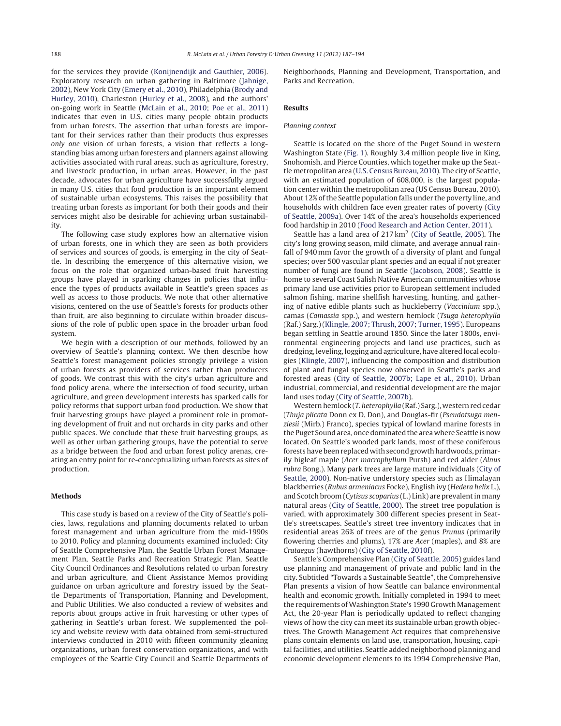for the services they provide (Konijnendijk and Gauthier, 2006). Exploratory research on urban gathering in Baltimore (Jahnige, 2002), New York City (Emery et al., 2010), Philadelphia (Brody and Hurley, 2010), Charleston (Hurley et al., 2008), and the authors' on-going work in Seattle (McLain et al., 2010; Poe et al., 2011) indicates that even in U.S. cities many people obtain products from urban forests. The assertion that urban forests are important for their services rather than their products thus expresses only one vision of urban forests, a vision that reflects a longstanding bias among urban foresters and planners against allowing activities associated with rural areas, such as agriculture, forestry, and livestock production, in urban areas. However, in the past decade, advocates for urban agriculture have successfully argued in many U.S. cities that food production is an important element of sustainable urban ecosystems. This raises the possibility that treating urban forests as important for both their goods and their services might also be desirable for achieving urban sustainability.

The following case study explores how an alternative vision of urban forests, one in which they are seen as both providers of services and sources of goods, is emerging in the city of Seattle. In describing the emergence of this alternative vision, we focus on the role that organized urban-based fruit harvesting groups have played in sparking changes in policies that influence the types of products available in Seattle's green spaces as well as access to those products. We note that other alternative visions, centered on the use of Seattle's forests for products other than fruit, are also beginning to circulate within broader discussions of the role of public open space in the broader urban food system.

We begin with a description of our methods, followed by an overview of Seattle's planning context. We then describe how Seattle's forest management policies strongly privilege a vision of urban forests as providers of services rather than producers of goods. We contrast this with the city's urban agriculture and food policy arena, where the intersection of food security, urban agriculture, and green development interests has sparked calls for policy reforms that support urban food production. We show that fruit harvesting groups have played a prominent role in promoting development of fruit and nut orchards in city parks and other public spaces. We conclude that these fruit harvesting groups, as well as other urban gathering groups, have the potential to serve as a bridge between the food and urban forest policy arenas, creating an entry point for re-conceptualizing urban forests as sites of production.

## Methods

This case study is based on a review of the City of Seattle's policies, laws, regulations and planning documents related to urban forest management and urban agriculture from the mid-1990s to 2010. Policy and planning documents examined included: City of Seattle Comprehensive Plan, the Seattle Urban Forest Management Plan, Seattle Parks and Recreation Strategic Plan, Seattle City Council Ordinances and Resolutions related to urban forestry and urban agriculture, and Client Assistance Memos providing guidance on urban agriculture and forestry issued by the Seattle Departments of Transportation, Planning and Development, and Public Utilities. We also conducted a review of websites and reports about groups active in fruit harvesting or other types of gathering in Seattle's urban forest. We supplemented the policy and website review with data obtained from semi-structured interviews conducted in 2010 with fifteen community gleaning organizations, urban forest conservation organizations, and with employees of the Seattle City Council and Seattle Departments of Neighborhoods, Planning and Development, Transportation, and Parks and Recreation.

#### Results

## Planning context

Seattle is located on the shore of the Puget Sound in western Washington State (Fig. 1). Roughly 3.4 million people live in King, Snohomish, and Pierce Counties, which together make up the Seattle metropolitan area (U.S. Census Bureau, 2010). The city of Seattle, with an estimated population of 608,000, is the largest population center within the metropolitan area (US Census Bureau, 2010). About 12% of the Seattle population falls under the poverty line, and households with children face even greater rates of poverty (City of Seattle, 2009a). Over 14% of the area's households experienced food hardship in 2010 (Food Research and Action Center, 2011).

Seattle has a land area of 217 km<sup>2</sup> (City of Seattle, 2005). The city's long growing season, mild climate, and average annual rainfall of 940 mm favor the growth of a diversity of plant and fungal species; over 500 vascular plant species and an equal if not greater number of fungi are found in Seattle (Jacobson, 2008). Seattle is home to several Coast Salish Native American communities whose primary land use activities prior to European settlement included salmon fishing, marine shellfish harvesting, hunting, and gathering of native edible plants such as huckleberry (Vaccinium spp.), camas (Camassia spp.), and western hemlock (Tsuga heterophylla (Raf.) Sarg.) (Klingle, 2007; Thrush, 2007; Turner, 1995). Europeans began settling in Seattle around 1850. Since the later 1800s, environmental engineering projects and land use practices, such as dredging, leveling, logging and agriculture, have altered local ecologies (Klingle, 2007), influencing the composition and distribution of plant and fungal species now observed in Seattle's parks and forested areas (City of Seattle, 2007b; Lape et al., 2010). Urban industrial, commercial, and residential development are the major land uses today (City of Seattle, 2007b).

Western hemlock (T. heterophylla (Raf.) Sarg.), western red cedar (Thuja plicata Donn ex D. Don), and Douglas-fir (Pseudotsuga menziesii (Mirb.) Franco), species typical of lowland marine forests in the Puget Sound area, once dominated the area where Seattle is now located. On Seattle's wooded park lands, most of these coniferous forests have been replaced with second growth hardwoods, primarily bigleaf maple (Acer macrophyllum Pursh) and red alder (Alnus rubra Bong.). Many park trees are large mature individuals (City of Seattle, 2000). Non-native understory species such as Himalayan blackberries (Rubus armeniacus Focke), English ivy (Hedera helix L.), and Scotch broom (Cytisus scoparius (L.) Link) are prevalent in many natural areas (City of Seattle, 2000). The street tree population is varied, with approximately 300 different species present in Seattle's streetscapes. Seattle's street tree inventory indicates that in residential areas 26% of trees are of the genus Prunus (primarily flowering cherries and plums), 17% are Acer (maples), and 8% are Crataegus (hawthorns) (City of Seattle, 2010f).

Seattle's Comprehensive Plan (City of Seattle, 2005) guides land use planning and management of private and public land in the city. Subtitled "Towards a Sustainable Seattle", the Comprehensive Plan presents a vision of how Seattle can balance environmental health and economic growth. Initially completed in 1994 to meet the requirements ofWashington State's 1990 Growth Management Act, the 20-year Plan is periodically updated to reflect changing views of how the city can meet its sustainable urban growth objectives. The Growth Management Act requires that comprehensive plans contain elements on land use, transportation, housing, capital facilities, and utilities. Seattle added neighborhood planning and economic development elements to its 1994 Comprehensive Plan,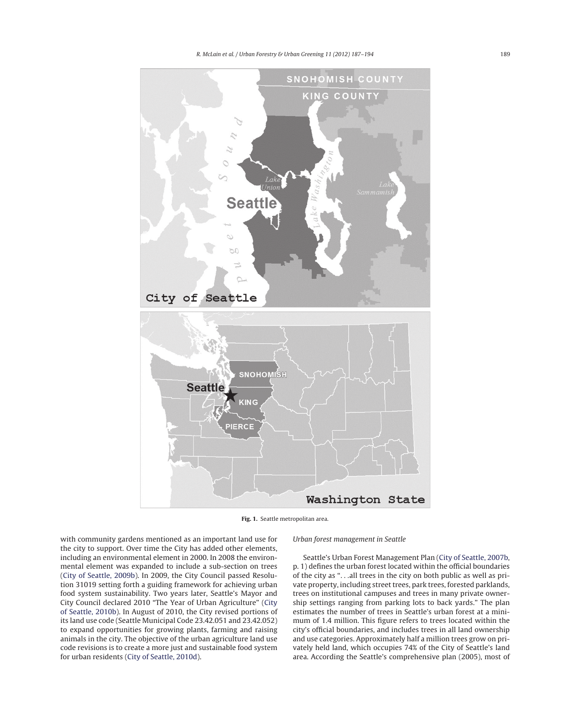

Fig. 1. Seattle metropolitan area.

with community gardens mentioned as an important land use for the city to support. Over time the City has added other elements, including an environmental element in 2000. In 2008 the environmental element was expanded to include a sub-section on trees (City of Seattle, 2009b). In 2009, the City Council passed Resolution 31019 setting forth a guiding framework for achieving urban food system sustainability. Two years later, Seattle's Mayor and City Council declared 2010 "The Year of Urban Agriculture" (City of Seattle, 2010b). In August of 2010, the City revised portions of its land use code (Seattle Municipal Code 23.42.051 and 23.42.052) to expand opportunities for growing plants, farming and raising animals in the city. The objective of the urban agriculture land use code revisions is to create a more just and sustainable food system for urban residents (City of Seattle, 2010d).

Urban forest management in Seattle

Seattle's Urban Forest Management Plan (City of Seattle, 2007b, p. 1) defines the urban forest located within the official boundaries of the city as ". . .all trees in the city on both public as well as private property, including street trees, park trees, forested parklands, trees on institutional campuses and trees in many private ownership settings ranging from parking lots to back yards." The plan estimates the number of trees in Seattle's urban forest at a minimum of 1.4 million. This figure refers to trees located within the city's official boundaries, and includes trees in all land ownership and use categories. Approximately half a million trees grow on privately held land, which occupies 74% of the City of Seattle's land area. According the Seattle's comprehensive plan (2005), most of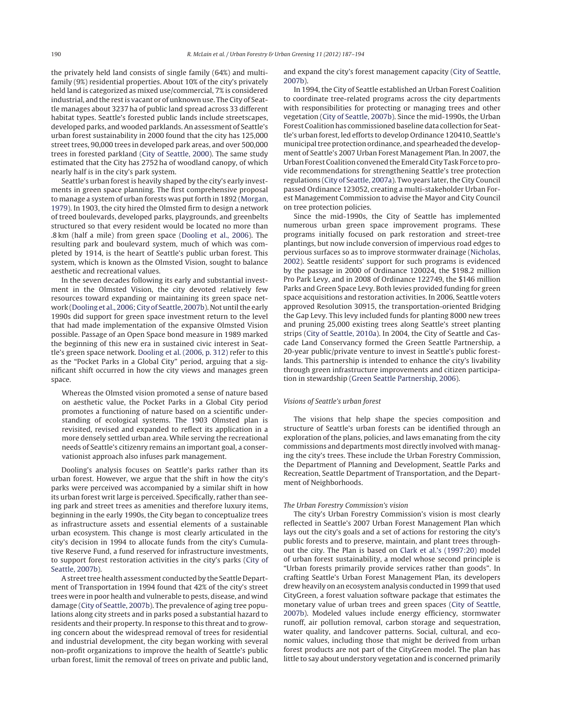the privately held land consists of single family (64%) and multifamily (9%) residential properties. About 10% of the city's privately held land is categorized as mixed use/commercial, 7% is considered industrial, and the rest is vacant or of unknown use. The City of Seattle manages about 3237 ha of public land spread across 33 different habitat types. Seattle's forested public lands include streetscapes, developed parks, and wooded parklands. An assessment of Seattle's urban forest sustainability in 2000 found that the city has 125,000 street trees, 90,000 trees in developed park areas, and over 500,000 trees in forested parkland (City of Seattle, 2000). The same study estimated that the City has 2752 ha of woodland canopy, of which nearly half is in the city's park system.

Seattle's urban forest is heavily shaped by the city's early investments in green space planning. The first comprehensive proposal to manage a system of urban forests was put forth in 1892 (Morgan, 1979). In 1903, the city hired the Olmsted firm to design a network of treed boulevards, developed parks, playgrounds, and greenbelts structured so that every resident would be located no more than .8 km (half a mile) from green space (Dooling et al., 2006). The resulting park and boulevard system, much of which was completed by 1914, is the heart of Seattle's public urban forest. This system, which is known as the Olmsted Vision, sought to balance aesthetic and recreational values.

In the seven decades following its early and substantial investment in the Olmsted Vision, the city devoted relatively few resources toward expanding or maintaining its green space network (Dooling et al., 2006; City of Seattle, 2007b). Not until the early 1990s did support for green space investment return to the level that had made implementation of the expansive Olmsted Vision possible. Passage of an Open Space bond measure in 1989 marked the beginning of this new era in sustained civic interest in Seattle's green space network. Dooling et al. (2006, p. 312) refer to this as the "Pocket Parks in a Global City" period, arguing that a significant shift occurred in how the city views and manages green space.

Whereas the Olmsted vision promoted a sense of nature based on aesthetic value, the Pocket Parks in a Global City period promotes a functioning of nature based on a scientific understanding of ecological systems. The 1903 Olmsted plan is revisited, revised and expanded to reflect its application in a more densely settled urban area. While serving the recreational needs of Seattle's citizenry remains an important goal, a conservationist approach also infuses park management.

Dooling's analysis focuses on Seattle's parks rather than its urban forest. However, we argue that the shift in how the city's parks were perceived was accompanied by a similar shift in how its urban forest writ large is perceived. Specifically, rather than seeing park and street trees as amenities and therefore luxury items, beginning in the early 1990s, the City began to conceptualize trees as infrastructure assets and essential elements of a sustainable urban ecosystem. This change is most clearly articulated in the city's decision in 1994 to allocate funds from the city's Cumulative Reserve Fund, a fund reserved for infrastructure investments, to support forest restoration activities in the city's parks (City of Seattle, 2007b).

A street tree health assessment conducted by the Seattle Department of Transportation in 1994 found that 42% of the city's street trees were in poor health and vulnerable to pests, disease, and wind damage (City of Seattle, 2007b). The prevalence of aging tree populations along city streets and in parks posed a substantial hazard to residents and their property. In response to this threat and to growing concern about the widespread removal of trees for residential and industrial development, the city began working with several non-profit organizations to improve the health of Seattle's public urban forest, limit the removal of trees on private and public land, and expand the city's forest management capacity (City of Seattle, 2007b).

In 1994, the City of Seattle established an Urban Forest Coalition to coordinate tree-related programs across the city departments with responsibilities for protecting or managing trees and other vegetation (City of Seattle, 2007b). Since the mid-1990s, the Urban Forest Coalition has commissioned baseline data collection for Seattle's urban forest, led efforts to develop Ordinance 120410, Seattle's municipal tree protection ordinance, and spearheaded the development of Seattle's 2007 Urban Forest Management Plan. In 2007, the Urban Forest Coalition convened the Emerald City Task Force to provide recommendations for strengthening Seattle's tree protection regulations (City of Seattle, 2007a). Two years later, the City Council passed Ordinance 123052, creating a multi-stakeholder Urban Forest Management Commission to advise the Mayor and City Council on tree protection policies.

Since the mid-1990s, the City of Seattle has implemented numerous urban green space improvement programs. These programs initially focused on park restoration and street-tree plantings, but now include conversion of impervious road edges to pervious surfaces so as to improve stormwater drainage (Nicholas, 2002). Seattle residents' support for such programs is evidenced by the passage in 2000 of Ordinance 120024, the \$198.2 million Pro Park Levy, and in 2008 of Ordinance 122749, the \$146 million Parks and Green Space Levy. Both levies provided funding for green space acquisitions and restoration activities. In 2006, Seattle voters approved Resolution 30915, the transportation-oriented Bridging the Gap Levy. This levy included funds for planting 8000 new trees and pruning 25,000 existing trees along Seattle's street planting strips (City of Seattle, 2010a). In 2004, the City of Seattle and Cascade Land Conservancy formed the Green Seattle Partnership, a 20-year public/private venture to invest in Seattle's public forestlands. This partnership is intended to enhance the city's livability through green infrastructure improvements and citizen participation in stewardship (Green Seattle Partnership, 2006).

## Visions of Seattle's urban forest

The visions that help shape the species composition and structure of Seattle's urban forests can be identified through an exploration of the plans, policies, and laws emanating from the city commissions and departments most directly involved with managing the city's trees. These include the Urban Forestry Commission, the Department of Planning and Development, Seattle Parks and Recreation, Seattle Department of Transportation, and the Department of Neighborhoods.

#### The Urban Forestry Commission's vision

The city's Urban Forestry Commission's vision is most clearly reflected in Seattle's 2007 Urban Forest Management Plan which lays out the city's goals and a set of actions for restoring the city's public forests and to preserve, maintain, and plant trees throughout the city. The Plan is based on Clark et al.'s (1997:20) model of urban forest sustainability, a model whose second principle is "Urban forests primarily provide services rather than goods". In crafting Seattle's Urban Forest Management Plan, its developers drew heavily on an ecosystem analysis conducted in 1999 that used CityGreen, a forest valuation software package that estimates the monetary value of urban trees and green spaces (City of Seattle, 2007b). Modeled values include energy efficiency, stormwater runoff, air pollution removal, carbon storage and sequestration, water quality, and landcover patterns. Social, cultural, and economic values, including those that might be derived from urban forest products are not part of the CityGreen model. The plan has little to say about understory vegetation and is concerned primarily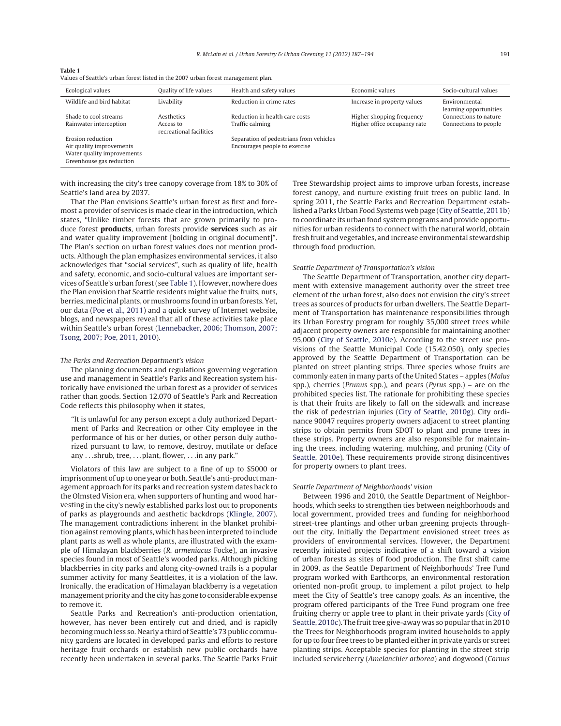| Table 1                                                                           |  |
|-----------------------------------------------------------------------------------|--|
| Values of Seattle's urban forest listed in the 2007 urban forest management plan. |  |

| Ecological values                                                                  | Quality of life values                             | Health and safety values                          | Economic values                                           | Socio-cultural values                          |
|------------------------------------------------------------------------------------|----------------------------------------------------|---------------------------------------------------|-----------------------------------------------------------|------------------------------------------------|
| Wildlife and bird habitat                                                          | Livability                                         | Reduction in crime rates                          | Increase in property values                               | Environmental<br>learning opportunities        |
| Shade to cool streams<br>Rainwater interception                                    | Aesthetics<br>Access to<br>recreational facilities | Reduction in health care costs<br>Traffic calming | Higher shopping frequency<br>Higher office occupancy rate | Connections to nature<br>Connections to people |
| Erosion reduction                                                                  |                                                    | Separation of pedestrians from vehicles           |                                                           |                                                |
| Air quality improvements<br>Water quality improvements<br>Greenhouse gas reduction |                                                    | Encourages people to exercise                     |                                                           |                                                |

with increasing the city's tree canopy coverage from 18% to 30% of Seattle's land area by 2037.

That the Plan envisions Seattle's urban forest as first and foremost a provider of services is made clear in the introduction, which states, "Unlike timber forests that are grown primarily to produce forest **products**, urban forests provide **services** such as air and water quality improvement [bolding in original document]". The Plan's section on urban forest values does not mention products. Although the plan emphasizes environmental services, it also acknowledges that "social services", such as quality of life, health and safety, economic, and socio-cultural values are important services of Seattle's urban forest(see Table 1). However, nowhere does the Plan envision that Seattle residents might value the fruits, nuts, berries, medicinal plants, or mushrooms found in urban forests. Yet, our data (Poe et al., 2011) and a quick survey of Internet website, blogs, and newspapers reveal that all of these activities take place within Seattle's urban forest (Lennebacker, 2006; Thomson, 2007; Tsong, 2007; Poe, 2011, 2010).

#### The Parks and Recreation Department's vision

The planning documents and regulations governing vegetation use and management in Seattle's Parks and Recreation system historically have envisioned the urban forest as a provider of services rather than goods. Section 12.070 of Seattle's Park and Recreation Code reflects this philosophy when it states,

"It is unlawful for any person except a duly authorized Department of Parks and Recreation or other City employee in the performance of his or her duties, or other person duly authorized pursuant to law, to remove, destroy, mutilate or deface any . . .shrub, tree, . . .plant, flower, . . .in any park."

Violators of this law are subject to a fine of up to \$5000 or imprisonment of up to one year or both. Seattle's anti-product management approach for its parks and recreation system dates back to the Olmsted Vision era, when supporters of hunting and wood harvesting in the city's newly established parks lost out to proponents of parks as playgrounds and aesthetic backdrops (Klingle, 2007). The management contradictions inherent in the blanket prohibition against removing plants, which has been interpreted to include plant parts as well as whole plants, are illustrated with the example of Himalayan blackberries (R. armeniacus Focke), an invasive species found in most of Seattle's wooded parks. Although picking blackberries in city parks and along city-owned trails is a popular summer activity for many Seattleites, it is a violation of the law. Ironically, the eradication of Himalayan blackberry is a vegetation management priority and the city has gone to considerable expense to remove it.

Seattle Parks and Recreation's anti-production orientation, however, has never been entirely cut and dried, and is rapidly becoming much less so. Nearly a third of Seattle's 73 public community gardens are located in developed parks and efforts to restore heritage fruit orchards or establish new public orchards have recently been undertaken in several parks. The Seattle Parks Fruit Tree Stewardship project aims to improve urban forests, increase forest canopy, and nurture existing fruit trees on public land. In spring 2011, the Seattle Parks and Recreation Department established a Parks Urban Food Systems web page (City of Seattle, 2011b) to coordinate its urban food system programs and provide opportunities for urban residents to connect with the natural world, obtain fresh fruit and vegetables, and increase environmental stewardship through food production.

### Seattle Department of Transportation's vision

The Seattle Department of Transportation, another city department with extensive management authority over the street tree element of the urban forest, also does not envision the city's street trees as sources of products for urban dwellers. The Seattle Department of Transportation has maintenance responsibilities through its Urban Forestry program for roughly 35,000 street trees while adjacent property owners are responsible for maintaining another 95,000 (City of Seattle, 2010e). According to the street use provisions of the Seattle Municipal Code (15.42.050), only species approved by the Seattle Department of Transportation can be planted on street planting strips. Three species whose fruits are commonly eaten in many parts of the United States – apples (Malus spp.), cherries (Prunus spp.), and pears (Pyrus spp.) – are on the prohibited species list. The rationale for prohibiting these species is that their fruits are likely to fall on the sidewalk and increase the risk of pedestrian injuries (City of Seattle, 2010g). City ordinance 90047 requires property owners adjacent to street planting strips to obtain permits from SDOT to plant and prune trees in these strips. Property owners are also responsible for maintaining the trees, including watering, mulching, and pruning (City of Seattle, 2010e). These requirements provide strong disincentives for property owners to plant trees.

## Seattle Department of Neighborhoods' vision

Between 1996 and 2010, the Seattle Department of Neighborhoods, which seeks to strengthen ties between neighborhoods and local government, provided trees and funding for neighborhood street-tree plantings and other urban greening projects throughout the city. Initially the Department envisioned street trees as providers of environmental services. However, the Department recently initiated projects indicative of a shift toward a vision of urban forests as sites of food production. The first shift came in 2009, as the Seattle Department of Neighborhoods' Tree Fund program worked with Earthcorps, an environmental restoration oriented non-profit group, to implement a pilot project to help meet the City of Seattle's tree canopy goals. As an incentive, the program offered participants of the Tree Fund program one free fruiting cherry or apple tree to plant in their private yards (City of Seattle, 2010c). The fruit tree give-away was so popular that in 2010 the Trees for Neighborhoods program invited households to apply for up to four free trees to be planted either in private yards or street planting strips. Acceptable species for planting in the street strip included serviceberry (Amelanchier arborea) and dogwood (Cornus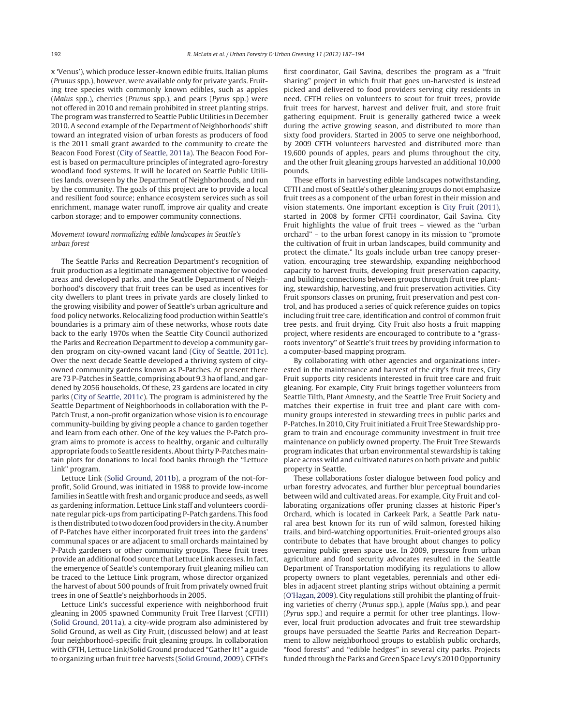x 'Venus'), which produce lesser-known edible fruits. Italian plums (Prunus spp.), however, were available only for private yards. Fruiting tree species with commonly known edibles, such as apples (Malus spp.), cherries (Prunus spp.), and pears (Pyrus spp.) were not offered in 2010 and remain prohibited in street planting strips. The program was transferred to Seattle Public Utilities in December 2010. A second example of the Department of Neighborhoods' shift toward an integrated vision of urban forests as producers of food is the 2011 small grant awarded to the community to create the Beacon Food Forest (City of Seattle, 2011a). The Beacon Food Forest is based on permaculture principles of integrated agro-forestry woodland food systems. It will be located on Seattle Public Utilities lands, overseen by the Department of Neighborhoods, and run by the community. The goals of this project are to provide a local and resilient food source; enhance ecosystem services such as soil enrichment, manage water runoff, improve air quality and create carbon storage; and to empower community connections.

# Movement toward normalizing edible landscapes in Seattle's urban forest

The Seattle Parks and Recreation Department's recognition of fruit production as a legitimate management objective for wooded areas and developed parks, and the Seattle Department of Neighborhood's discovery that fruit trees can be used as incentives for city dwellers to plant trees in private yards are closely linked to the growing visibility and power of Seattle's urban agriculture and food policy networks. Relocalizing food production within Seattle's boundaries is a primary aim of these networks, whose roots date back to the early 1970s when the Seattle City Council authorized the Parks and Recreation Department to develop a community garden program on city-owned vacant land (City of Seattle, 2011c). Over the next decade Seattle developed a thriving system of cityowned community gardens known as P-Patches. At present there are 73 P-Patches in Seattle, comprising about 9.3 ha ofland, and gardened by 2056 households. Of these, 23 gardens are located in city parks (City of Seattle, 2011c). The program is administered by the Seattle Department of Neighborhoods in collaboration with the P-Patch Trust, a non-profit organization whose vision is to encourage community-building by giving people a chance to garden together and learn from each other. One of the key values the P-Patch program aims to promote is access to healthy, organic and culturally appropriate foods to Seattle residents. About thirty P-Patches maintain plots for donations to local food banks through the "Lettuce Link" program.

Lettuce Link (Solid Ground, 2011b), a program of the not-forprofit, Solid Ground, was initiated in 1988 to provide low-income families in Seattle with fresh and organic produce and seeds, as well as gardening information. Lettuce Link staff and volunteers coordinate regular pick-ups from participating P-Patch gardens. This food is then distributed to two dozen food providers in the city. A number of P-Patches have either incorporated fruit trees into the gardens' communal spaces or are adjacent to small orchards maintained by P-Patch gardeners or other community groups. These fruit trees provide an additional food source that Lettuce Link accesses. In fact, the emergence of Seattle's contemporary fruit gleaning milieu can be traced to the Lettuce Link program, whose director organized the harvest of about 500 pounds of fruit from privately owned fruit trees in one of Seattle's neighborhoods in 2005.

Lettuce Link's successful experience with neighborhood fruit gleaning in 2005 spawned Community Fruit Tree Harvest (CFTH) (Solid Ground, 2011a), a city-wide program also administered by Solid Ground, as well as City Fruit, (discussed below) and at least four neighborhood-specific fruit gleaning groups. In collaboration with CFTH, Lettuce Link/Solid Ground produced "Gather It!" a guide to organizing urban fruit tree harvests (Solid Ground, 2009). CFTH's

first coordinator, Gail Savina, describes the program as a "fruit sharing" project in which fruit that goes un-harvested is instead picked and delivered to food providers serving city residents in need. CFTH relies on volunteers to scout for fruit trees, provide fruit trees for harvest, harvest and deliver fruit, and store fruit gathering equipment. Fruit is generally gathered twice a week during the active growing season, and distributed to more than sixty food providers. Started in 2005 to serve one neighborhood, by 2009 CFTH volunteers harvested and distributed more than 19,600 pounds of apples, pears and plums throughout the city, and the other fruit gleaning groups harvested an additional 10,000 pounds.

These efforts in harvesting edible landscapes notwithstanding, CFTH and most of Seattle's other gleaning groups do not emphasize fruit trees as a component of the urban forest in their mission and vision statements. One important exception is City Fruit (2011), started in 2008 by former CFTH coordinator, Gail Savina. City Fruit highlights the value of fruit trees – viewed as the "urban orchard" – to the urban forest canopy in its mission to "promote the cultivation of fruit in urban landscapes, build community and protect the climate." Its goals include urban tree canopy preservation, encouraging tree stewardship, expanding neighborhood capacity to harvest fruits, developing fruit preservation capacity, and building connections between groups through fruit tree planting, stewardship, harvesting, and fruit preservation activities. City Fruit sponsors classes on pruning, fruit preservation and pest control, and has produced a series of quick reference guides on topics including fruit tree care, identification and control of common fruit tree pests, and fruit drying. City Fruit also hosts a fruit mapping project, where residents are encouraged to contribute to a "grassroots inventory" of Seattle's fruit trees by providing information to a computer-based mapping program.

By collaborating with other agencies and organizations interested in the maintenance and harvest of the city's fruit trees, City Fruit supports city residents interested in fruit tree care and fruit gleaning. For example, City Fruit brings together volunteers from Seattle Tilth, Plant Amnesty, and the Seattle Tree Fruit Society and matches their expertise in fruit tree and plant care with community groups interested in stewarding trees in public parks and P-Patches. In 2010, City Fruit initiated a Fruit Tree Stewardship program to train and encourage community investment in fruit tree maintenance on publicly owned property. The Fruit Tree Stewards program indicates that urban environmental stewardship is taking place across wild and cultivated natures on both private and public property in Seattle.

These collaborations foster dialogue between food policy and urban forestry advocates, and further blur perceptual boundaries between wild and cultivated areas. For example, City Fruit and collaborating organizations offer pruning classes at historic Piper's Orchard, which is located in Carkeek Park, a Seattle Park natural area best known for its run of wild salmon, forested hiking trails, and bird-watching opportunities. Fruit-oriented groups also contribute to debates that have brought about changes to policy governing public green space use. In 2009, pressure from urban agriculture and food security advocates resulted in the Seattle Department of Transportation modifying its regulations to allow property owners to plant vegetables, perennials and other edibles in adjacent street planting strips without obtaining a permit (O'Hagan, 2009). City regulations still prohibit the planting of fruiting varieties of cherry (Prunus spp.), apple (Malus spp.), and pear (Pyrus spp.) and require a permit for other tree plantings. However, local fruit production advocates and fruit tree stewardship groups have persuaded the Seattle Parks and Recreation Department to allow neighborhood groups to establish public orchards, "food forests" and "edible hedges" in several city parks. Projects funded through the Parks and Green Space Levy's 2010 Opportunity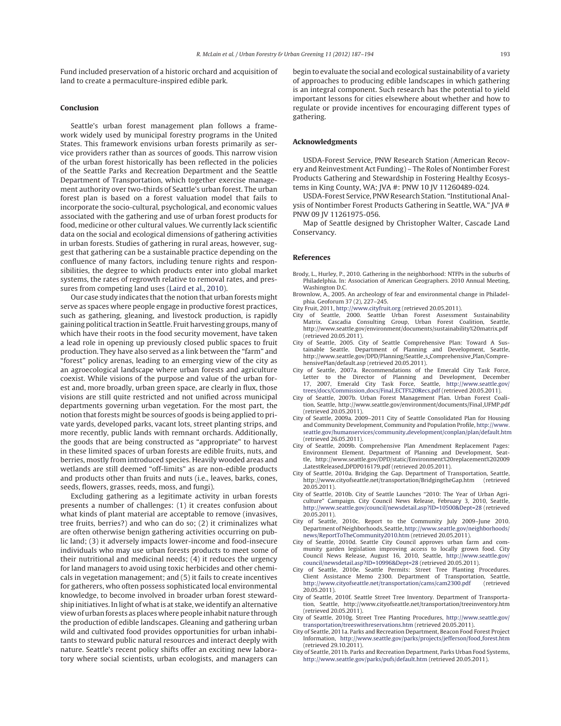Fund included preservation of a historic orchard and acquisition of land to create a permaculture-inspired edible park.

#### Conclusion

Seattle's urban forest management plan follows a framework widely used by municipal forestry programs in the United States. This framework envisions urban forests primarily as service providers rather than as sources of goods. This narrow vision of the urban forest historically has been reflected in the policies of the Seattle Parks and Recreation Department and the Seattle Department of Transportation, which together exercise management authority over two-thirds of Seattle's urban forest. The urban forest plan is based on a forest valuation model that fails to incorporate the socio-cultural, psychological, and economic values associated with the gathering and use of urban forest products for food, medicine or other cultural values. We currently lack scientific data on the social and ecological dimensions of gathering activities in urban forests. Studies of gathering in rural areas, however, suggest that gathering can be a sustainable practice depending on the confluence of many factors, including tenure rights and responsibilities, the degree to which products enter into global market systems, the rates of regrowth relative to removal rates, and pressures from competing land uses (Laird et al., 2010).

Our case study indicates that the notion that urban forests might serve as spaces where people engage in productive forest practices, such as gathering, gleaning, and livestock production, is rapidly gaining political traction in Seattle. Fruit harvesting groups, many of which have their roots in the food security movement, have taken a lead role in opening up previously closed public spaces to fruit production. They have also served as a link between the "farm" and "forest" policy arenas, leading to an emerging view of the city as an agroecological landscape where urban forests and agriculture coexist. While visions of the purpose and value of the urban forest and, more broadly, urban green space, are clearly in flux, those visions are still quite restricted and not unified across municipal departments governing urban vegetation. For the most part, the notion that forests might be sources of goods is being applied to private yards, developed parks, vacant lots, street planting strips, and more recently, public lands with remnant orchards. Additionally, the goods that are being constructed as "appropriate" to harvest in these limited spaces of urban forests are edible fruits, nuts, and berries, mostly from introduced species. Heavily wooded areas and wetlands are still deemed "off-limits" as are non-edible products and products other than fruits and nuts (i.e., leaves, barks, cones, seeds, flowers, grasses, reeds, moss, and fungi).

Excluding gathering as a legitimate activity in urban forests presents a number of challenges: (1) it creates confusion about what kinds of plant material are acceptable to remove (invasives, tree fruits, berries?) and who can do so; (2) it criminalizes what are often otherwise benign gathering activities occurring on public land; (3) it adversely impacts lower-income and food-insecure individuals who may use urban forests products to meet some of their nutritional and medicinal needs; (4) it reduces the urgency for land managers to avoid using toxic herbicides and other chemicals in vegetation management; and (5) it fails to create incentives for gatherers, who often possess sophisticated local environmental knowledge, to become involved in broader urban forest stewardship initiatives. In light of what is at stake, we identify an alternative view of urban forests as places where people inhabit nature through the production of edible landscapes. Gleaning and gathering urban wild and cultivated food provides opportunities for urban inhabitants to steward public natural resources and interact deeply with nature. Seattle's recent policy shifts offer an exciting new laboratory where social scientists, urban ecologists, and managers can begin to evaluate the social and ecological sustainability of a variety of approaches to producing edible landscapes in which gathering is an integral component. Such research has the potential to yield important lessons for cities elsewhere about whether and how to regulate or provide incentives for encouraging different types of gathering.

## Acknowledgments

USDA-Forest Service, PNW Research Station (American Recovery and Reinvestment Act Funding) – The Roles of Nontimber Forest Products Gathering and Stewardship in Fostering Healthy Ecosystems in King County, WA; JVA #: PNW 10 JV 11260489-024.

USDA-Forest Service, PNWResearch Station. "InstitutionalAnalysis of Nontimber Forest Products Gathering in Seattle, WA." JVA # PNW 09 JV 11261975-056.

Map of Seattle designed by Christopher Walter, Cascade Land Conservancy.

#### References

- Brody, L., Hurley, P., 2010. Gathering in the neighborhood: NTFPs in the suburbs of Philadelphia. In: Association of American Geographers. 2010 Annual Meeting, Washington D.C.
- Brownlow, A., 2005. An archeology of fear and environmental change in Philadelphia. Geoforum 37 (2), 227–245.
- City Fruit, 2011, http://www.cityfruit.org (retrieved 20.05.2011).
- 2000. Seattle Urban Forest Assessment Sustainability Matrix. Cascadia Consulting Group, Urban Forest Coalition, Seattle, http://www.seattle.gov/environment/documents/sustainability%20matrix.pdf (retrieved 20.05.2011).
- City of Seattle, 2005. City of Seattle Comprehensive Plan: Toward A Sustainable Seattle. Department of Planning and Development, Seattle, http://www.seattle.gov/DPD/Planning/Seattle s Comprehensive Plan/ComprehensivePlan/default.asp (retrieved 20.05.2011).
- City of Seattle, 2007a. Recommendations of the Emerald City Task Force, Letter to the Director of Planning and Development, December 17, 2007, Emerald City Task Force, Seattle, http://www.seattle.gov/ trees/docs/Commission docs/Final ECTF%20Recs.pdf (retrieved 20.05.2011).
- City of Seattle, 2007b. Urban Forest Management Plan. Urban Forest Coalition, Seattle, http://www.seattle.gov/environment/documents/Final UFMP.pdf (retrieved 20.05.2011).
- City of Seattle, 2009a. 2009–2011 City of Seattle Consolidated Plan for Housing and Community Development, Community and Population Profile, http://www. seattle.gov/humanservices/community development/conplan/plan/default.htm (retrieved 26.05.2011).
- City of Seattle, 2009b. Comprehensive Plan Amendment Replacement Pages: Environment Element. Department of Planning and Development, Seattle, http://www.seattle.gov/DPD/static/Environment%20replacement%202009 LatestReleased DPDP016179.pdf (retrieved 20.05.2011).
- City of Seattle, 2010a. Bridging the Gap. Department of Transportation, Seattle, http://www.cityofseattle.net/transportation/BridgingtheGap.htm (retrieved 20.05.2011).
- City of Seattle, 2010b. City of Seattle Launches "2010: The Year of Urban Agriculture" Campaign. City Council News Release, February 3, 2010, Seattle, http://www.seattle.gov/council/newsdetail.asp?ID=10500&Dept=28 (retrieved 20.05.2011).
- City of Seattle, 2010c. Report to the Community July 2009–June 2010. Department of Neighborhoods, Seattle, http://www.seattle.gov/neighborhoods/ news/ReportToTheCommunity2010.htm (retrieved 20.05.2011).
- City of Seattle, 2010d. Seattle City Council approves urban farm and community garden legislation improving access to locally grown food. City Council News Release, August 16, 2010, Seattle, http://www.seattle.gov/ council/newsdetail.asp?ID=10996&Dept=28 (retrieved 20.05.2011).
- City of Seattle, 2010e. Seattle Permits: Street Tree Planting Procedures. Client Assistance Memo 2300. Department of Transportation, Seattle, http://www.cityofseattle.net/transportation/cams/cam2300.pdf (retrieved 20.05.2011).
- City of Seattle, 2010f. Seattle Street Tree Inventory. Department of Transportation, Seattle, http://www.cityofseattle.net/transportation/treeinventory.htm (retrieved 20.05.2011).
- City of Seattle, 2010g. Street Tree Planting Procedures, http://www.seattle.gov/ transportation/treeswithreservations.htm (retrieved 20.05.2011).
- City of Seattle, 2011a. Parks and Recreation Department, Beacon Food Forest Project Information, http://www.seattle.gov/parks/projects/jefferson/food forest.htm (retrieved 29.10.2011).
- City of Seattle, 2011b. Parks and Recreation Department, Parks Urban Food Systems, http://www.seattle.gov/parks/pufs/default.htm (retrieved 20.05.2011).